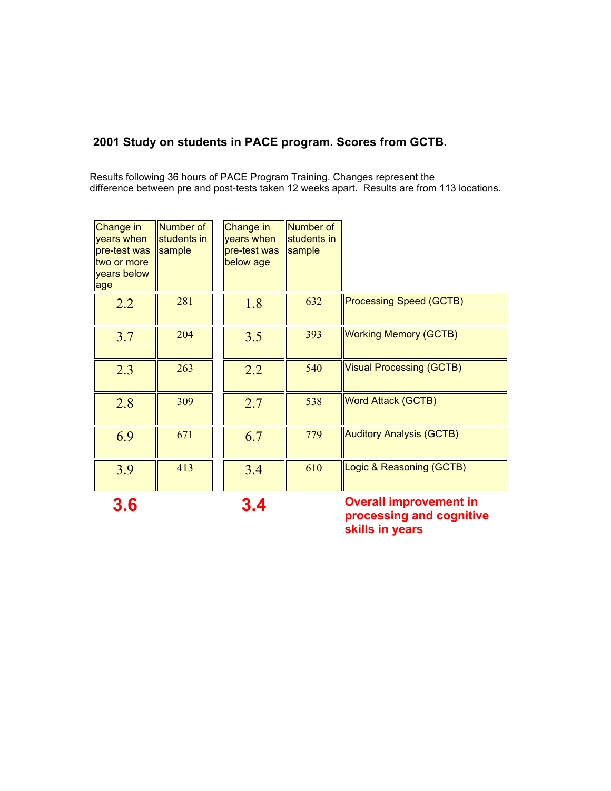### **2001 Study on students in PACE program. Scores from GCTB.**

Results following 36 hours of PACE Program Training. Changes represent the difference between pre and post-tests taken 12 weeks apart. Results are from 113 locations.

| Change in<br>years when<br>pre-test was<br>two or more<br>years below<br>age | Number of<br>students in<br>sample | Change in<br>years when<br>pre-test was<br>below age | Number of<br>students in<br>sample |                                 |
|------------------------------------------------------------------------------|------------------------------------|------------------------------------------------------|------------------------------------|---------------------------------|
| 2.2                                                                          | 281                                | 1.8                                                  | 632                                | <b>Processing Speed (GCTB)</b>  |
| 3.7                                                                          | 204                                | 3.5                                                  | 393                                | <b>Working Memory (GCTB)</b>    |
| 2.3                                                                          | 263                                | 2.2                                                  | 540                                | <b>Visual Processing (GCTB)</b> |
| 2.8                                                                          | 309                                | 2.7                                                  | 538                                | <b>Word Attack (GCTB)</b>       |
| 6.9                                                                          | 671                                | 6.7                                                  | 779                                | <b>Auditory Analysis (GCTB)</b> |
| 3.9                                                                          | 413                                | 3.4                                                  | 610                                | Logic & Reasoning (GCTB)        |

**3.6 3.4 Overall improvement in processing and cognitive skills in years**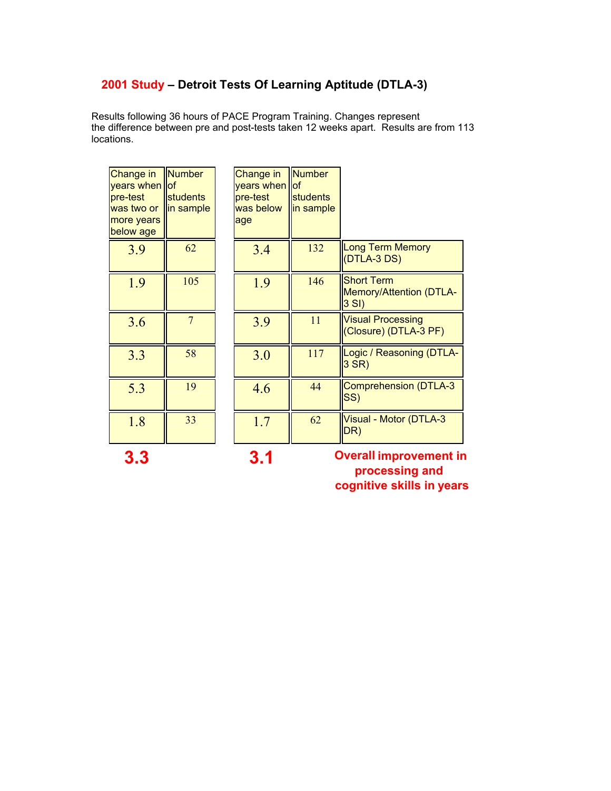# **2001 Study – Detroit Tests Of Learning Aptitude (DTLA-3)**

Results following 36 hours of PACE Program Training. Changes represent the difference between pre and post-tests taken 12 weeks apart. Results are from 113 locations.

| Change in<br>years when lof<br>pre-test<br>was two or<br>more years<br>below age | <b>Number</b><br>students<br>in sample | Change in<br>years when<br>pre-test<br>was below<br>age | Number<br>llof<br>students<br>in sample |                                                                |
|----------------------------------------------------------------------------------|----------------------------------------|---------------------------------------------------------|-----------------------------------------|----------------------------------------------------------------|
| 3.9                                                                              | 62                                     | 3.4                                                     | 132                                     | <b>Long Term Memory</b><br>$(DTLA-3DS)$                        |
| 1.9                                                                              | 105                                    | 1.9                                                     | 146                                     | <b>Short Term</b><br><b>Memory/Attention (DTLA-</b><br>$3$ SI) |
| 3.6                                                                              | 7                                      | 3.9                                                     | 11                                      | <b>Visual Processing</b><br>(Closure) (DTLA-3 PF)              |
| 3.3                                                                              | 58                                     | 3.0                                                     | 117                                     | Logic / Reasoning (DTLA-<br>$3$ SR)                            |
| 5.3                                                                              | 19                                     | 4.6                                                     | 44                                      | Comprehension (DTLA-3<br>SS)                                   |
| 1.8                                                                              | 33                                     | 1.7                                                     | 62                                      | Visual - Motor (DTLA-3<br>DR)                                  |

**3.3 3.1 Overall improvement in processing and cognitive skills in years**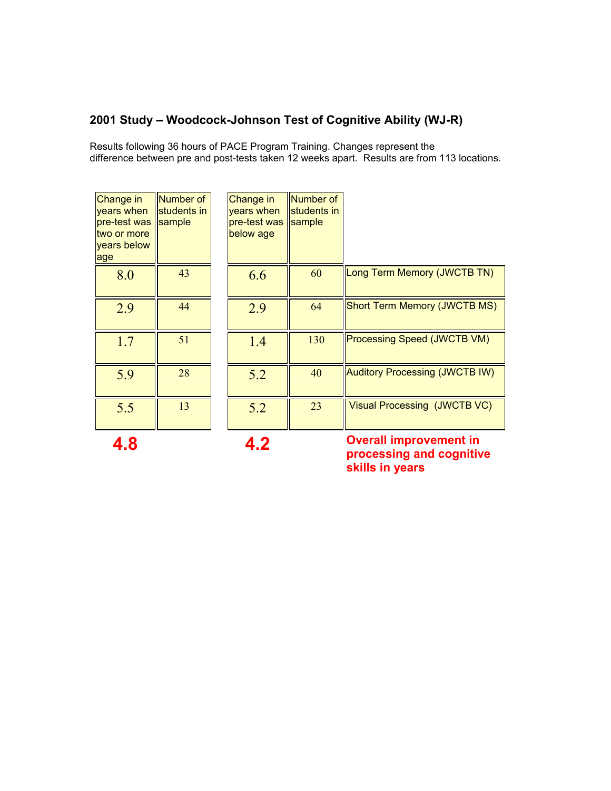#### **2001 Study – Woodcock-Johnson Test of Cognitive Ability (WJ-R)**

Results following 36 hours of PACE Program Training. Changes represent the difference between pre and post-tests taken 12 weeks apart. Results are from 113 locations.

| <b>Change in</b><br>years when<br>pre-test was<br>two or more<br>years below<br>age | Number of<br>students in<br>sample |
|-------------------------------------------------------------------------------------|------------------------------------|
| 8.0                                                                                 | 43                                 |
| 2.9                                                                                 | 44                                 |
| 1.7                                                                                 | 51                                 |
| 5.9                                                                                 | 28                                 |
| 5.5                                                                                 | 13                                 |

| nge in<br>s when<br>est was<br>or more<br>s below | Number of<br>students in<br>sample | Change in<br>years when<br>pre-test was<br>below age | Number of<br>students in<br>sample |                                       |
|---------------------------------------------------|------------------------------------|------------------------------------------------------|------------------------------------|---------------------------------------|
| 8.0                                               | 43                                 | 6.6                                                  | 60                                 | Long Term Memory (JWCTB TN)           |
| 2.9                                               | 44                                 | 2.9                                                  | 64                                 | <b>Short Term Memory (JWCTB MS)</b>   |
| 1.7                                               | 51                                 | 1.4                                                  | 130                                | <b>Processing Speed (JWCTB VM)</b>    |
| 5.9                                               | 28                                 | 5.2                                                  | 40                                 | <b>Auditory Processing (JWCTB IW)</b> |
| 5.5                                               | 13                                 | 5.2                                                  | 23                                 | Visual Processing (JWCTB VC)          |

**4.8 4.2 Overall improvement in processing and cognitive skills in years**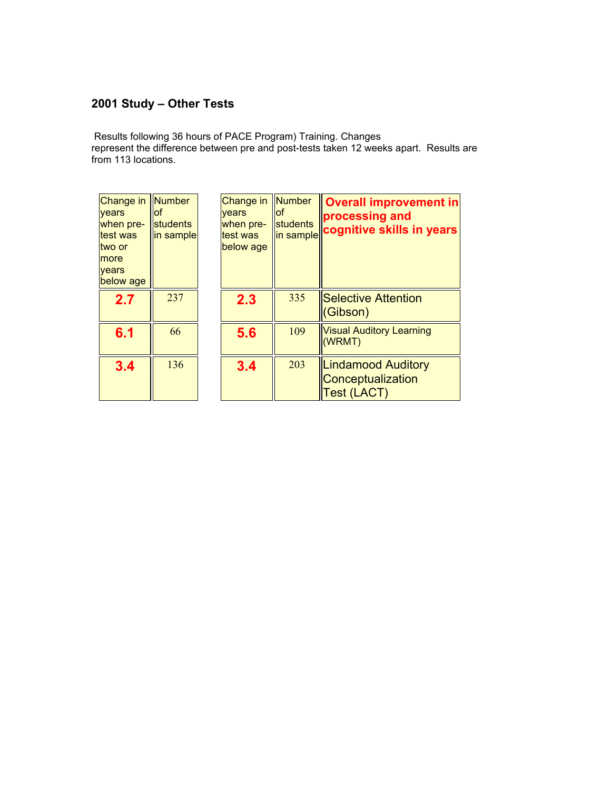# **2001 Study – Other Tests**

Results following 36 hours of PACE Program) Training. Changes represent the difference between pre and post-tests taken 12 weeks apart. Results are from 113 locations.

| Change in<br>vears<br>when pre-<br>test was<br>two or<br>more<br>years<br>below age | Number<br><b>of</b><br>students<br>in sample | Change in  Number<br>vears<br>when pre-<br>test was<br>below age | lof<br>students<br>in sample | <b>Overall improvement in</b><br>processing and<br>cognitive skills in years |
|-------------------------------------------------------------------------------------|----------------------------------------------|------------------------------------------------------------------|------------------------------|------------------------------------------------------------------------------|
| 2.7                                                                                 | 237                                          | 2.3                                                              | 335                          | <b>Selective Attention</b><br>(Gibson)                                       |
| 6.1                                                                                 | 66                                           | 5.6                                                              | 109                          | <b>Visual Auditory Learning</b><br>(WRMT)                                    |
| 3.4                                                                                 | 136                                          | 3.4                                                              | 203                          | <b>Lindamood Auditory</b><br>Conceptualization<br><b>Test (LACT)</b>         |